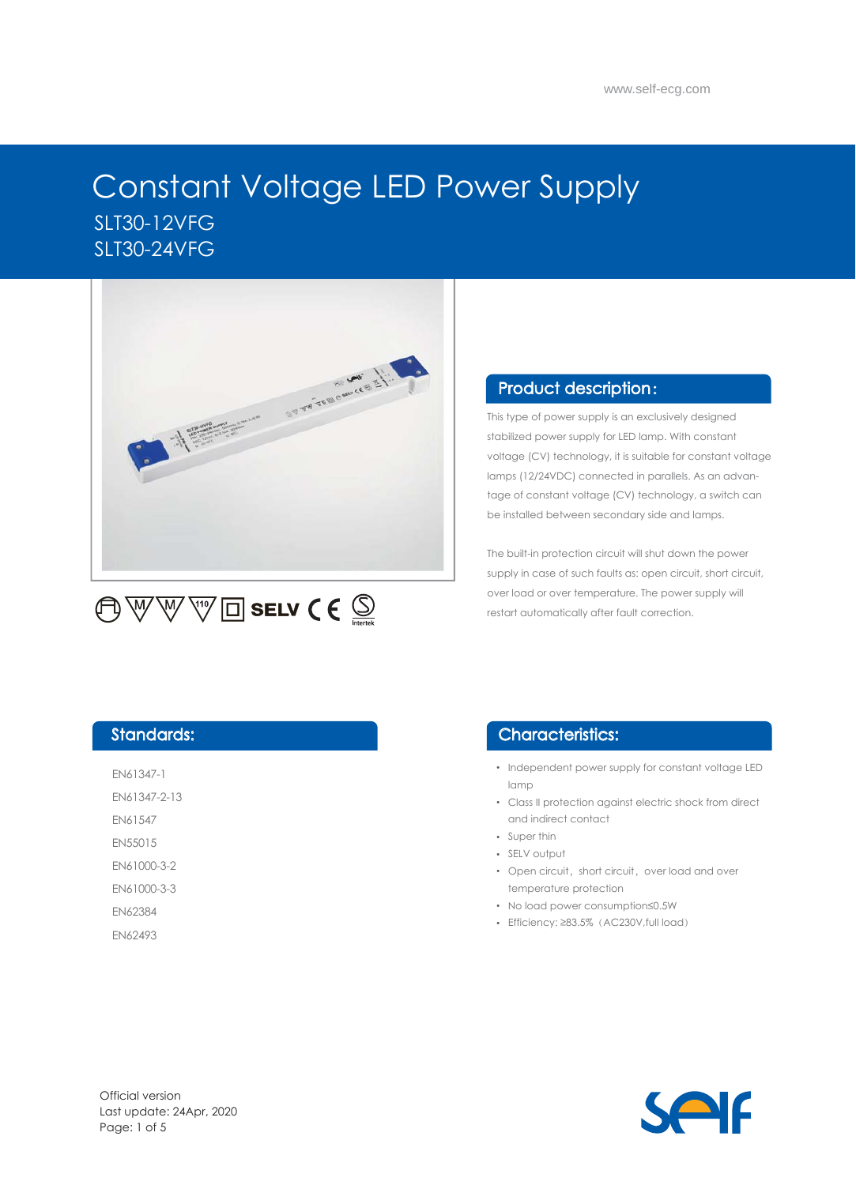



Universal Science srl via Adige 30 - 20006 Pregnana Milanese (MI) - Italy T: +39 02 94324 511 E: sales@universal-science.eu W: www.universal-science.it

# Constant Voltage LED Power Supply SLT30-12VFG SLT30-24VFG



 $\bigoplus\mathbb{W}\mathbb{W}$   $\mathbb{W}$   $\Box$  selv  $\mathsf{C}\in\mathbb{Q}$ 

#### Product description :

This type of power supply is an exclusively designed stabilized power supply for LED lamp. With constant voltage (CV) technology, it is suitable for constant voltage lamps (12/24VDC) connected in parallels. As an advantage of constant voltage (CV) technology, a switch can be installed between secondary side and lamps.

The built-in protection circuit will shut down the power supply in case of such faults as: open circuit, short circuit, over load or over temperature. The power supply will restart automatically after fault correction.

#### Standards:

EN61347-1

EN61347-2-13

EN61547

EN55015

EN61000-3-2

EN61000-3-3

EN62384

EN62493

#### Characteristics:

- Independent power supply for constant voltage LED lamp
- Class II protection against electric shock from direct and indirect contact
- Super thin
- SELV output
- Open circuit, short circuit, over load and over temperature protection
- No load power consumption≤0.5W
- Efficiency: ≥83.5%(AC230V,full load)

Official version Last update: 24Apr, 2020 Page: 1 of 5

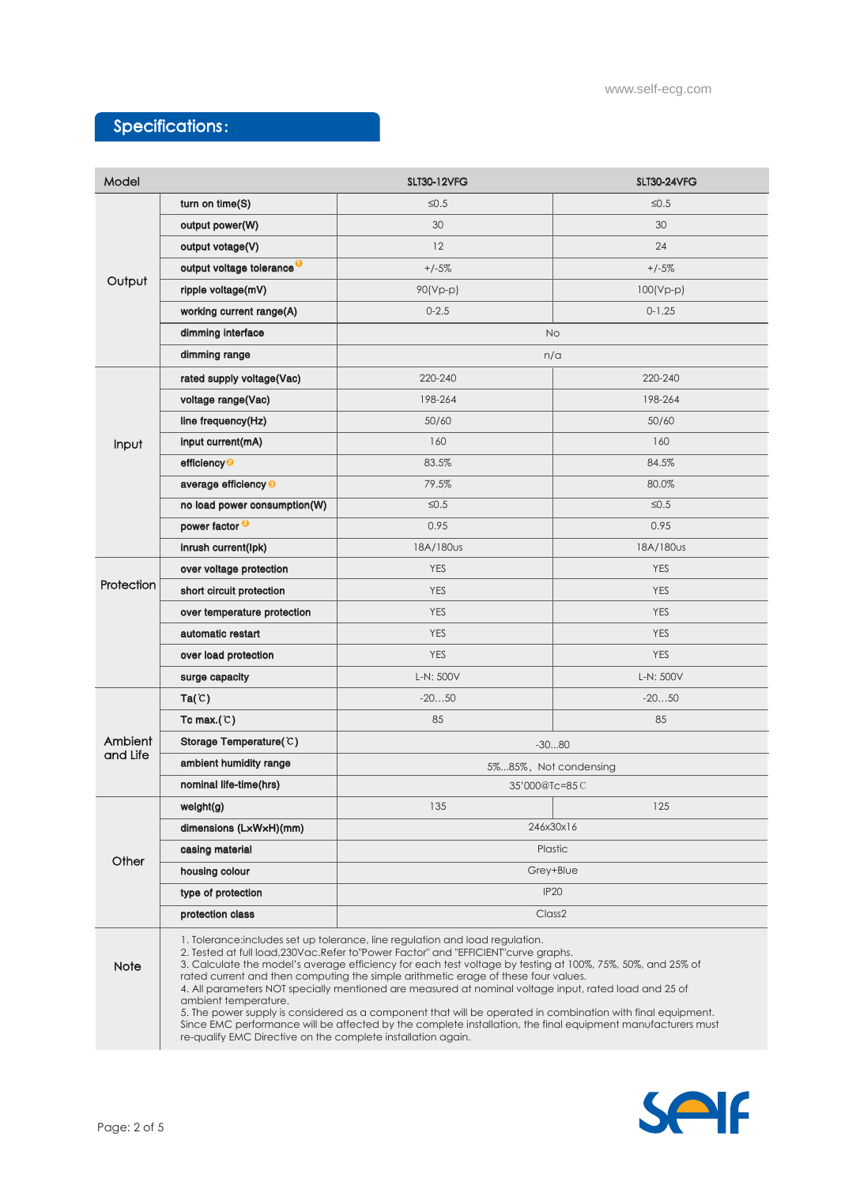## Specifications:

| Model               |                                       | <b>SLT30-12VFG</b>                                                                                                                                                                                                                                                                                                                                                                                                                                                                                                                                                                                                                                                                                                                                                                | <b>SLT30-24VFG</b> |  |
|---------------------|---------------------------------------|-----------------------------------------------------------------------------------------------------------------------------------------------------------------------------------------------------------------------------------------------------------------------------------------------------------------------------------------------------------------------------------------------------------------------------------------------------------------------------------------------------------------------------------------------------------------------------------------------------------------------------------------------------------------------------------------------------------------------------------------------------------------------------------|--------------------|--|
| Output              | turn on time(S)                       | $\leq 0.5$                                                                                                                                                                                                                                                                                                                                                                                                                                                                                                                                                                                                                                                                                                                                                                        | $\leq 0.5$         |  |
|                     | output power(W)                       | 30                                                                                                                                                                                                                                                                                                                                                                                                                                                                                                                                                                                                                                                                                                                                                                                | 30                 |  |
|                     | output votage(V)                      | 12                                                                                                                                                                                                                                                                                                                                                                                                                                                                                                                                                                                                                                                                                                                                                                                | 24                 |  |
|                     | output voltage tolerance <sup>O</sup> | $+/-5%$                                                                                                                                                                                                                                                                                                                                                                                                                                                                                                                                                                                                                                                                                                                                                                           | $+/-5%$            |  |
|                     | ripple voltage(mV)                    | $90(Vp-p)$                                                                                                                                                                                                                                                                                                                                                                                                                                                                                                                                                                                                                                                                                                                                                                        | $100(Vp-p)$        |  |
|                     | working current range(A)              | $0 - 2.5$                                                                                                                                                                                                                                                                                                                                                                                                                                                                                                                                                                                                                                                                                                                                                                         | $0 - 1.25$         |  |
|                     | dimming interface                     | <b>No</b>                                                                                                                                                                                                                                                                                                                                                                                                                                                                                                                                                                                                                                                                                                                                                                         |                    |  |
|                     | dimming range                         | n/a                                                                                                                                                                                                                                                                                                                                                                                                                                                                                                                                                                                                                                                                                                                                                                               |                    |  |
| Input               | rated supply voltage(Vac)             | 220-240                                                                                                                                                                                                                                                                                                                                                                                                                                                                                                                                                                                                                                                                                                                                                                           | 220-240            |  |
|                     | voltage range(Vac)                    | 198-264                                                                                                                                                                                                                                                                                                                                                                                                                                                                                                                                                                                                                                                                                                                                                                           | 198-264            |  |
|                     | line frequency(Hz)                    | 50/60                                                                                                                                                                                                                                                                                                                                                                                                                                                                                                                                                                                                                                                                                                                                                                             | 50/60              |  |
|                     | input current(mA)                     | 160                                                                                                                                                                                                                                                                                                                                                                                                                                                                                                                                                                                                                                                                                                                                                                               | 160                |  |
|                     | efficiency <sup>2</sup>               | 83.5%                                                                                                                                                                                                                                                                                                                                                                                                                                                                                                                                                                                                                                                                                                                                                                             | 84.5%              |  |
|                     | average efficiency <sup>®</sup>       | 79.5%                                                                                                                                                                                                                                                                                                                                                                                                                                                                                                                                                                                                                                                                                                                                                                             | 80.0%              |  |
|                     | no load power consumption(W)          | $\leq 0.5$                                                                                                                                                                                                                                                                                                                                                                                                                                                                                                                                                                                                                                                                                                                                                                        | $\leq 0.5$         |  |
|                     | power factor <sup>2</sup>             | 0.95                                                                                                                                                                                                                                                                                                                                                                                                                                                                                                                                                                                                                                                                                                                                                                              | 0.95               |  |
|                     | inrush current(lpk)                   | 18A/180us                                                                                                                                                                                                                                                                                                                                                                                                                                                                                                                                                                                                                                                                                                                                                                         | 18A/180us          |  |
| Protection          | over voltage protection               | <b>YES</b>                                                                                                                                                                                                                                                                                                                                                                                                                                                                                                                                                                                                                                                                                                                                                                        | <b>YES</b>         |  |
|                     | short circuit protection              | <b>YES</b>                                                                                                                                                                                                                                                                                                                                                                                                                                                                                                                                                                                                                                                                                                                                                                        | <b>YES</b>         |  |
|                     | over temperature protection           | <b>YES</b>                                                                                                                                                                                                                                                                                                                                                                                                                                                                                                                                                                                                                                                                                                                                                                        | <b>YES</b>         |  |
|                     | automatic restart                     | <b>YES</b>                                                                                                                                                                                                                                                                                                                                                                                                                                                                                                                                                                                                                                                                                                                                                                        | <b>YES</b>         |  |
|                     | over load protection                  | <b>YES</b>                                                                                                                                                                                                                                                                                                                                                                                                                                                                                                                                                                                                                                                                                                                                                                        | <b>YES</b>         |  |
|                     | surge capacity                        | L-N: 500V                                                                                                                                                                                                                                                                                                                                                                                                                                                                                                                                                                                                                                                                                                                                                                         | L-N: 500V          |  |
| Ambient<br>and Life | Ta(C)                                 | $-2050$                                                                                                                                                                                                                                                                                                                                                                                                                                                                                                                                                                                                                                                                                                                                                                           | $-2050$            |  |
|                     | Tc max. $(C)$                         | 85                                                                                                                                                                                                                                                                                                                                                                                                                                                                                                                                                                                                                                                                                                                                                                                | 85                 |  |
|                     | Storage Temperature(C)                | $-3080$                                                                                                                                                                                                                                                                                                                                                                                                                                                                                                                                                                                                                                                                                                                                                                           |                    |  |
|                     | ambient humidity range                | 5%85%, Not condensing                                                                                                                                                                                                                                                                                                                                                                                                                                                                                                                                                                                                                                                                                                                                                             |                    |  |
|                     | nominal life-time(hrs)                | 35'000@Tc=85C                                                                                                                                                                                                                                                                                                                                                                                                                                                                                                                                                                                                                                                                                                                                                                     |                    |  |
| Other               | weight(g)                             | 135                                                                                                                                                                                                                                                                                                                                                                                                                                                                                                                                                                                                                                                                                                                                                                               | 125                |  |
|                     | dimensions (LxWxH)(mm)                | 246x30x16                                                                                                                                                                                                                                                                                                                                                                                                                                                                                                                                                                                                                                                                                                                                                                         |                    |  |
|                     | casing material                       | Plastic                                                                                                                                                                                                                                                                                                                                                                                                                                                                                                                                                                                                                                                                                                                                                                           |                    |  |
|                     | housing colour                        | Grey+Blue                                                                                                                                                                                                                                                                                                                                                                                                                                                                                                                                                                                                                                                                                                                                                                         |                    |  |
|                     | type of protection                    | IP <sub>20</sub>                                                                                                                                                                                                                                                                                                                                                                                                                                                                                                                                                                                                                                                                                                                                                                  |                    |  |
|                     | protection class                      | Class <sub>2</sub>                                                                                                                                                                                                                                                                                                                                                                                                                                                                                                                                                                                                                                                                                                                                                                |                    |  |
| <b>Note</b>         | ambient temperature.                  | 1. Tolerance: includes set up tolerance, line regulation and load regulation.<br>2. Tested at full load, 230Vac. Refer to "Power Factor" and "EFFICIENT" curve graphs.<br>3. Calculate the model's average efficiency for each test voltage by testing at 100%, 75%, 50%, and 25% of<br>rated current and then computing the simple arithmetic erage of these four values.<br>4. All parameters NOT specially mentioned are measured at nominal voltage input, rated load and 25 of<br>5. The power supply is considered as a component that will be operated in combination with final equipment.<br>Since EMC performance will be affected by the complete installation, the final equipment manufacturers must<br>re-qualify EMC Directive on the complete installation again. |                    |  |

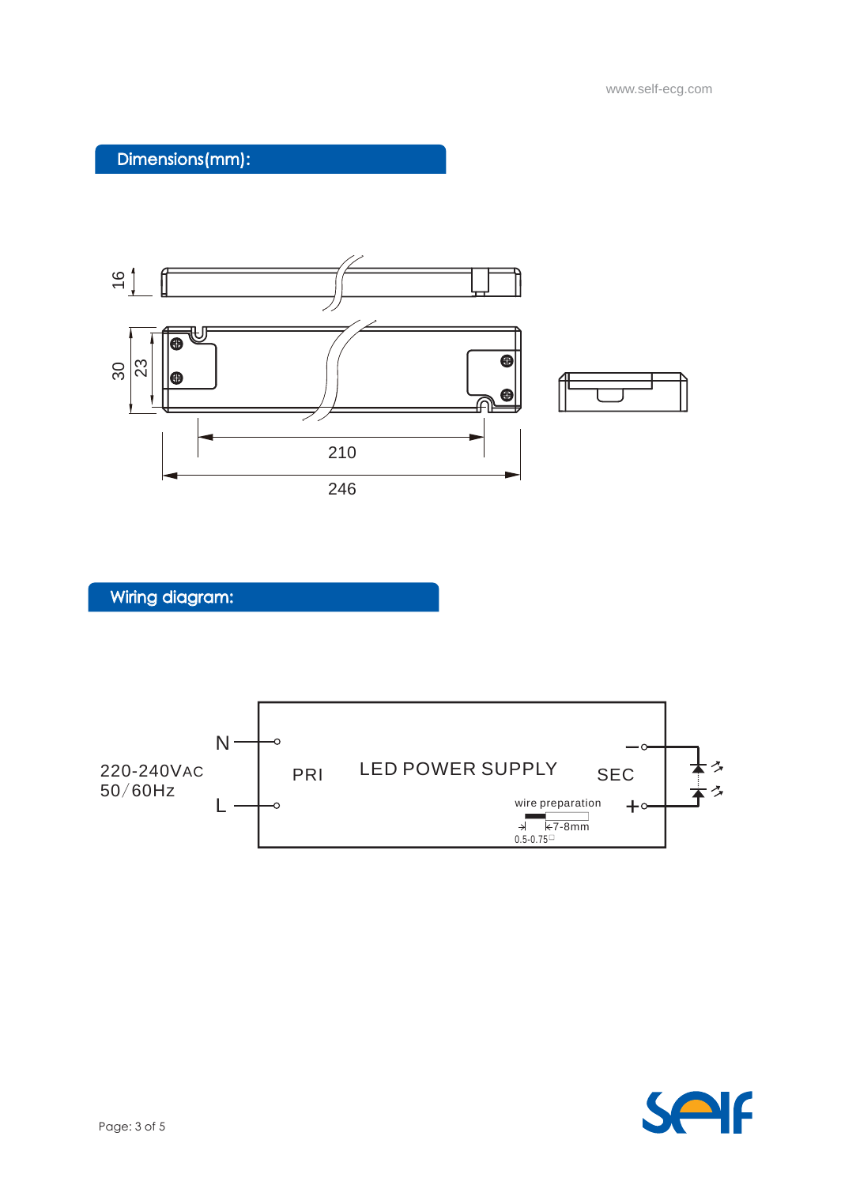## Dimensions(mm):



Wiring diagram:



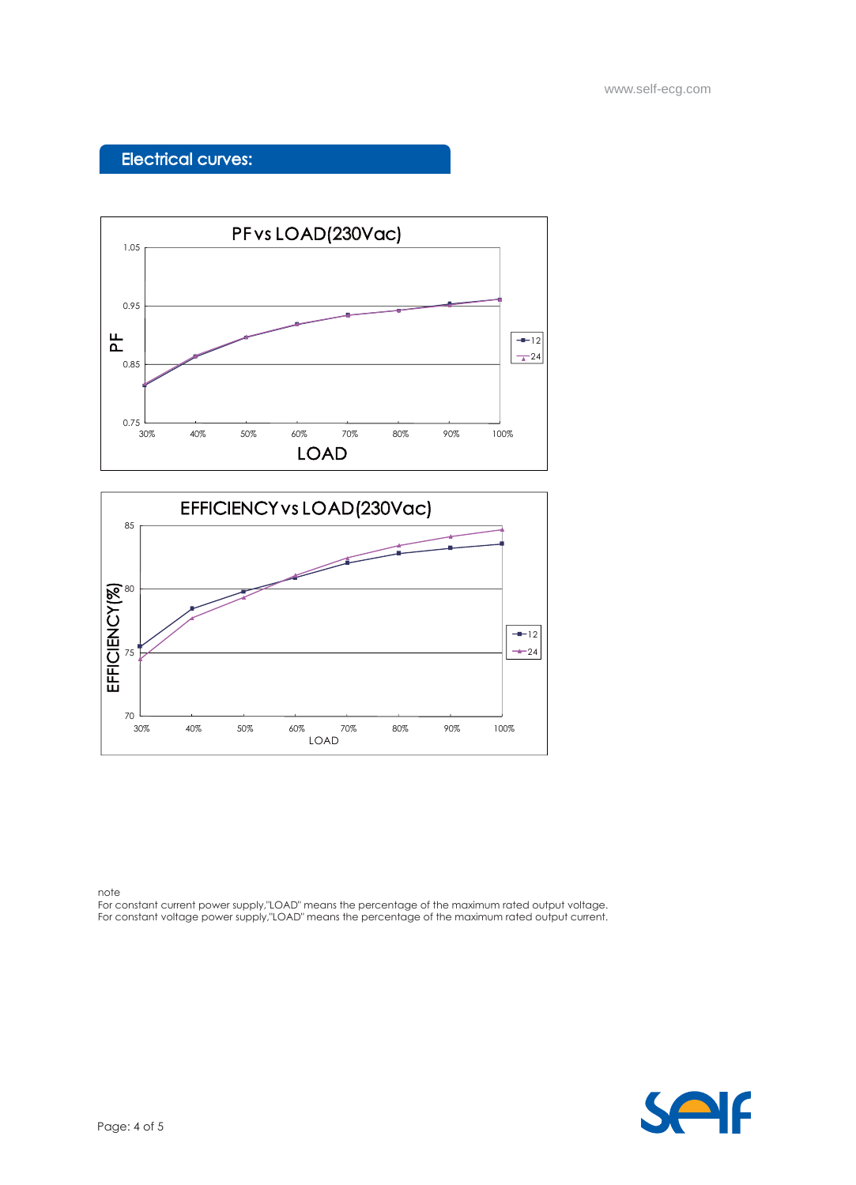### Electrical curves:





note

For constant current power supply,"LOAD" means the percentage of the maximum rated output voltage. For constant voltage power supply,"LOAD" means the percentage of the maximum rated output current.